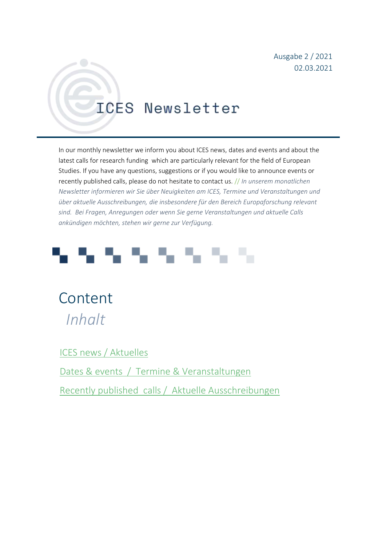Ausgabe 2 / 2021 02.03.2021

## **ICES Newsletter**

In our monthly newsletter we inform you about ICES news, dates and events and about the latest calls for research funding which are particularly relevant for the field of European Studies. If you have any questions, suggestions or if you would like to announce events or recently published calls, please do not hesitate to contact us. // *In unserem monatlichen Newsletter informieren wir Sie über Neuigkeiten am ICES, Termine und Veranstaltungen und über aktuelle Ausschreibungen, die insbesondere für den Bereich Europaforschung relevant sind. Bei Fragen, Anregungen oder wenn Sie gerne Veranstaltungen und aktuelle Calls ankündigen möchten, stehen wir gerne zur Verfügung.*



Content  *Inhalt*

[ICES news / Aktuelles](#page-1-0)

Dates & events / [Termine & Veranstaltungen](#page-1-1)

Recently published calls / [Aktuelle Ausschreibungen](#page-5-0)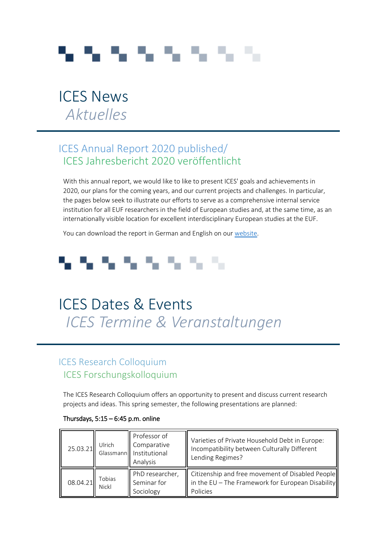# a ta ta ta ta ta ta ta

## <span id="page-1-0"></span>ICES News  *Aktuelles*

## ICES Annual Report 2020 published/ ICES Jahresbericht 2020 veröffentlicht

With this annual report, we would like to like to present ICES' goals and achievements in 2020, our plans for the coming years, and our current projects and challenges. In particular, the pages below seek to illustrate our efforts to serve as a comprehensive internal service institution for all EUF researchers in the field of European studies and, at the same time, as an internationally visible location for excellent interdisciplinary European studies at the EUF.

You can download the report in German and English on our [website.](https://www.uni-flensburg.de/index.php?id=30441&no_cache=1)

## とうりょうしょう

## <span id="page-1-1"></span>ICES Dates & Events  *ICES Termine & Veranstaltungen*

## ICES Research Colloquium ICES Forschungskolloquium

The ICES Research Colloquium offers an opportunity to present and discuss current research projects and ideas. This spring semester, the following presentations are planned:

| 25.03.21 | Ulrich                 | Professor of<br>Comparative<br>Glassmann Institutional<br>Analysis | Varieties of Private Household Debt in Europe:<br>Incompatibility between Culturally Different<br>Lending Regimes? |
|----------|------------------------|--------------------------------------------------------------------|--------------------------------------------------------------------------------------------------------------------|
| 08.04.21 | Tobias<br><b>Nickl</b> | PhD researcher,<br>Seminar for<br>Sociology                        | Citizenship and free movement of Disabled People<br>in the EU - The Framework for European Disability<br>Policies  |

#### Thursdays,  $5:15 - 6:45$  p.m. online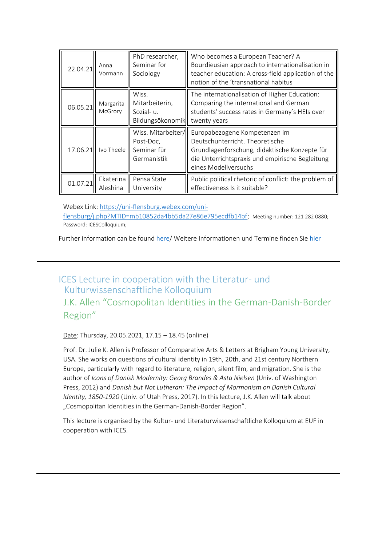| 22.04.21 | Anna<br>Vormann       | PhD researcher,<br>Seminar for<br>Sociology                   | Who becomes a European Teacher? A<br>Bourdieusian approach to internationalisation in<br>teacher education: A cross-field application of the<br>notion of the 'transnational habitus         |
|----------|-----------------------|---------------------------------------------------------------|----------------------------------------------------------------------------------------------------------------------------------------------------------------------------------------------|
| 06.05.21 | Margarita<br>McGrory  | Wiss.<br>Mitarbeiterin,<br>Sozial-u.<br>Bildungsökonomik      | The internationalisation of Higher Education:<br>Comparing the international and German<br>students' success rates in Germany's HEIs over<br>twenty years                                    |
| 17.06.21 | Ivo Theele            | Wiss. Mitarbeiter/<br>Post-Doc,<br>Seminar für<br>Germanistik | Europabezogene Kompetenzen im<br>Deutschunterricht. Theoretische<br>Grundlagenforschung, didaktische Konzepte für<br>die Unterrichtspraxis und empirische Begleitung<br>eines Modellversuchs |
| 01.07.21 | Ekaterina<br>Aleshina | Pensa State<br>University                                     | Public political rhetoric of conflict: the problem of<br>effectiveness Is it suitable?                                                                                                       |

Webex Link: [https://uni-flensburg.webex.com/uni](https://uni-flensburg.webex.com/uni-flensburg/j.php?MTID=mb10852da4bb5da27e86e795ecdfb14bf)[flensburg/j.php?MTID=mb10852da4bb5da27e86e795ecdfb14bf;](https://uni-flensburg.webex.com/uni-flensburg/j.php?MTID=mb10852da4bb5da27e86e795ecdfb14bf) Meeting number: 121 282 0880; Password: ICESColloquium;

Further information can be found [here/](https://www.uni-flensburg.de/en/ices/dates-and-events/ices-research-colloquium/) Weitere Informationen und Termine finden Si[e hier](https://www.uni-flensburg.de/ices/termine/ices-research-colloquium/)

## ICES Lecture in cooperation with the Literatur- und Kulturwissenschaftliche Kolloquium

J.K. Allen "Cosmopolitan Identities in the German-Danish-Border Region"

Date: Thursday, 20.05.2021, 17.15 – 18.45 (online)

Prof. Dr. Julie K. Allen is Professor of Comparative Arts & Letters at Brigham Young University, USA. She works on questions of cultural identity in 19th, 20th, and 21st century Northern Europe, particularly with regard to literature, religion, silent film, and migration. She is the author of *Icons of Danish Modernity: Georg Brandes & Asta Nielsen* (Univ. of Washington Press, 2012) and *Danish but Not Lutheran: The Impact of Mormonism on Danish Cultural Identity, 1850-1920* (Univ. of Utah Press, 2017). In this lecture, J.K. Allen will talk about "Cosmopolitan Identities in the German-Danish-Border Region".

This lecture is organised by the Kultur- und Literaturwissenschaftliche Kolloquium at EUF in cooperation with ICES.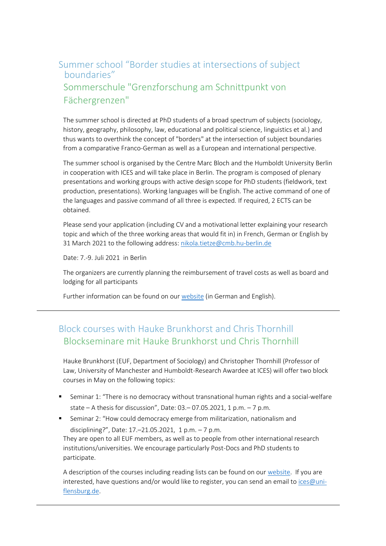## Summer school "Border studies at intersections of subject boundaries" Sommerschule "Grenzforschung am Schnittpunkt von Fächergrenzen"

The summer school is directed at PhD students of a broad spectrum of subjects (sociology, history, geography, philosophy, law, educational and political science, linguistics et al.) and thus wants to overthink the concept of "borders" at the intersection of subject boundaries from a comparative Franco-German as well as a European and international perspective.

The summer school is organised by the Centre Marc Bloch and the Humboldt University Berlin in cooperation with ICES and will take place in Berlin. The program is composed of plenary presentations and working groups with active design scope for PhD students (fieldwork, text production, presentations). Working languages will be English. The active command of one of the languages and passive command of all three is expected. If required, 2 ECTS can be obtained.

Please send your application (including CV and a motivational letter explaining your research topic and which of the three working areas that would fit in) in French, German or English by 31 March 2021 to the following address: [nikola.tietze@cmb.hu-berlin.de](javascript:linkTo_UnCryptMailto()

Date: 7.-9. Juli 2021 in Berlin

The organizers are currently planning the reimbursement of travel costs as well as board and lodging for all participants

Further information can be found on our [website](https://www.uni-flensburg.de/en/ices/dates-and-events/summer-school-border-studies/) (in German and English).

## Block courses with Hauke Brunkhorst and Chris Thornhill Blockseminare mit Hauke Brunkhorst und Chris Thornhill

Hauke Brunkhorst (EUF, Department of Sociology) and Christopher Thornhill (Professor of Law, University of Manchester and Humboldt-Research Awardee at ICES) will offer two block courses in May on the following topics:

- Seminar 1: "There is no democracy without transnational human rights and a social-welfare state – A thesis for discussion", Date: 03.– 07.05.2021, 1 p.m. – 7 p.m.
- **EXEDENT** Seminar 2: "How could democracy emerge from militarization, nationalism and disciplining?", Date: 17.–21.05.2021, 1 p.m. – 7 p.m.

They are open to all EUF members, as well as to people from other international research institutions/universities. We encourage particularly Post-Docs and PhD students to participate.

A description of the courses including reading lists can be found on our [website.](https://www.uni-flensburg.de/ices/termine/courses-brunkhorstthornhill/) If you are interested, have questions and/or would like to register, you can send an email to [ices@uni](mailto:ices@uni-flensburg.de)[flensburg.de.](mailto:ices@uni-flensburg.de)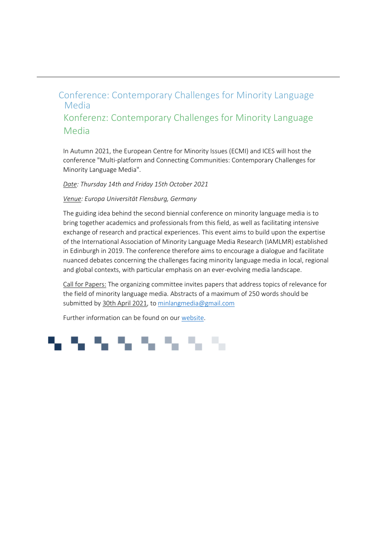## Conference: Contemporary Challenges for Minority Language Media Konferenz: Contemporary Challenges for Minority Language Media

In Autumn 2021, the European Centre for Minority Issues (ECMI) and ICES will host the conference "Multi-platform and Connecting Communities: Contemporary Challenges for Minority Language Media".

*Date: Thursday 14th and Friday 15th October 2021*

#### *Venue: Europa Universität Flensburg, Germany*

The guiding idea behind the second biennial conference on minority language media is to bring together academics and professionals from this field, as well as facilitating intensive exchange of research and practical experiences. This event aims to build upon the expertise of the International Association of Minority Language Media Research (IAMLMR) established in Edinburgh in 2019. The conference therefore aims to encourage a dialogue and facilitate nuanced debates concerning the challenges facing minority language media in local, regional and global contexts, with particular emphasis on an ever-evolving media landscape.

Call for Papers: The organizing committee invites papers that address topics of relevance for the field of minority language media. Abstracts of a maximum of 250 words should be submitted by 30th April 2021, t[o minlangmedia@gmail.com](mailto:minlangmedia@gmail.com)

Further information can be found on our [website.](https://www.uni-flensburg.de/ices/termine/conference-minority-language-media/)

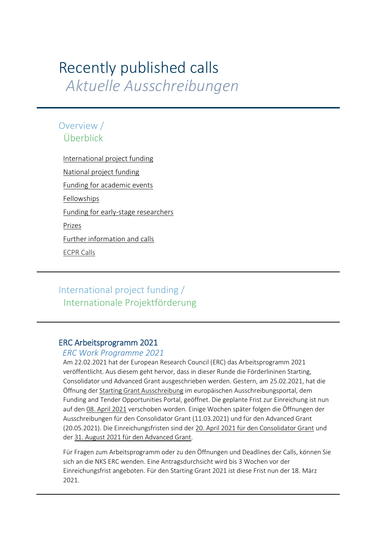## <span id="page-5-0"></span>Recently published calls  *Aktuelle Ausschreibungen*

## Overview / Überblick

[International project funding](#page-5-1) 

[National project funding](#page-7-0)

Funding for academic events

[Fellowships](#page-9-0) 

Funding for early-stage researchers

[Prizes](#page-12-0) 

[Further information and calls](#page-14-0) 

[ECPR Calls](#page-15-0)

## <span id="page-5-1"></span>International project funding / Internationale Projektförderung

#### ERC Arbeitsprogramm 2021

#### *ERC Work Programme 2021*

Am 22.02.2021 hat der European Research Council (ERC) das Arbeitsprogramm 2021 veröffentlicht. Aus diesem geht hervor, dass in dieser Runde die Förderlininen Starting, Consolidator und Advanced Grant ausgeschrieben werden. Gestern, am 25.02.2021, hat die Öffnung der Starting Grant Ausschreibung im europäischen Ausschreibungsportal, dem Funding and Tender Opportunities Portal, geöffnet. Die geplante Frist zur Einreichung ist nun auf den 08. April 2021 verschoben worden. Einige Wochen später folgen die Öffnungen der Ausschreibungen für den Consolidator Grant (11.03.2021) und für den Advanced Grant (20.05.2021). Die Einreichungsfristen sind der 20. April 2021 für den Consolidator Grant und der 31. August 2021 für den Advanced Grant.

Für Fragen zum Arbeitsprogramm oder zu den Öffnungen und Deadlines der Calls, können Sie sich an die NKS ERC wenden. Eine Antragsdurchsicht wird bis 3 Wochen vor der Einreichungsfrist angeboten. Für den Starting Grant 2021 ist diese Frist nun der 18. März 2021.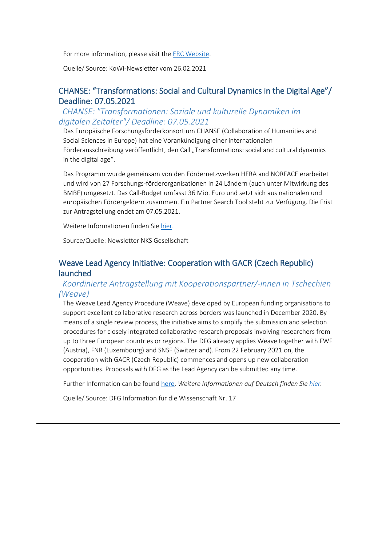For more information, please visit th[e ERC Website.](https://erc.europa.eu/news/erc-kicks-off-horizon-europe)

Quelle/ Source: KoWi-Newsletter vom 26.02.2021

#### CHANSE: "Transformations: Social and Cultural Dynamics in the Digital Age"/ Deadline: 07.05.2021

*CHANSE: "Transformationen: Soziale und kulturelle Dynamiken im digitalen Zeitalter"/ Deadline: 07.05.2021*

Das Europäische Forschungsförderkonsortium CHANSE (Collaboration of Humanities and Social Sciences in Europe) hat eine Vorankündigung einer internationalen Förderausschreibung veröffentlicht, den Call "Transformations: social and cultural dynamics in the digital age".

Das Programm wurde gemeinsam von den Fördernetzwerken HERA and NORFACE erarbeitet und wird von 27 Forschungs-förderorganisationen in 24 Ländern (auch unter Mitwirkung des BMBF) umgesetzt. Das Call-Budget umfasst 36 Mio. Euro und setzt sich aus nationalen und europäischen Fördergeldern zusammen. Ein Partner Search Tool steht zur Verfügung. Die Frist zur Antragstellung endet am 07.05.2021.

Weitere Informationen finden Sie [hier.](http://heranet.info/2020/12/14/pre-announcment-hera-and-norface-launch-a-new-programme-chanse-transformations-social-and-cultural-dynamics-in-the-digital-age/)

Source/Quelle: Newsletter NKS Gesellschaft

#### Weave Lead Agency Initiative: Cooperation with GACR (Czech Republic) launched

#### *Koordinierte Antragstellung mit Kooperationspartner/-innen in Tschechien (Weave)*

The Weave Lead Agency Procedure (Weave) developed by European funding organisations to support excellent collaborative research across borders was launched in December 2020. By means of a single review process, the initiative aims to simplify the submission and selection procedures for closely integrated collaborative research proposals involving researchers from up to three European countries or regions. The DFG already applies Weave together with FWF (Austria), FNR (Luxembourg) and SNSF (Switzerland). From 22 February 2021 on, the cooperation with GACR (Czech Republic) commences and opens up new collaboration opportunities. Proposals with DFG as the Lead Agency can be submitted any time.

Further Information can be found [here](https://www.dfg.de/foerderung/info_wissenschaft/info_wissenschaft_21_17/). *Weitere Informationen auf Deutsch finden Sie [hier.](https://www.dfg.de/foerderung/programme/inter_foerdermassnahmen/antragstellung_weave_verfahren/index.html)*

Quelle/ Source: DFG Information für die Wissenschaft Nr. 17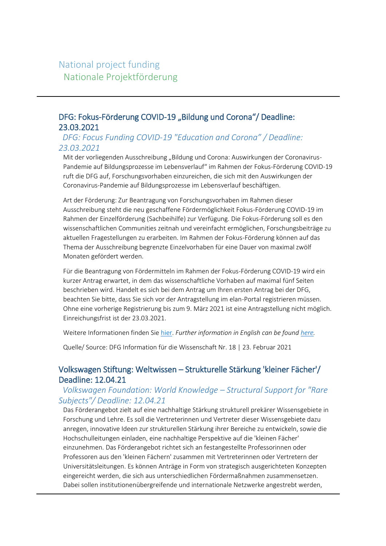## <span id="page-7-0"></span>National project funding Nationale Projektförderung

#### DFG: Fokus-Förderung COVID-19 "Bildung und Corona"/ Deadline: 23.03.2021

#### *DFG: Focus Funding COVID-19 "Education and Corona" / Deadline: 23.03.2021*

Mit der vorliegenden Ausschreibung "Bildung und Corona: Auswirkungen der Coronavirus-Pandemie auf Bildungsprozesse im Lebensverlauf" im Rahmen der Fokus-Förderung COVID-19 ruft die DFG auf, Forschungsvorhaben einzureichen, die sich mit den Auswirkungen der Coronavirus-Pandemie auf Bildungsprozesse im Lebensverlauf beschäftigen.

Art der Förderung: Zur Beantragung von Forschungsvorhaben im Rahmen dieser Ausschreibung steht die neu geschaffene Fördermöglichkeit Fokus-Förderung COVID-19 im Rahmen der Einzelförderung (Sachbeihilfe) zur Verfügung. Die Fokus-Förderung soll es den wissenschaftlichen Communities zeitnah und vereinfacht ermöglichen, Forschungsbeiträge zu aktuellen Fragestellungen zu erarbeiten. Im Rahmen der Fokus-Förderung können auf das Thema der Ausschreibung begrenzte Einzelvorhaben für eine Dauer von maximal zwölf Monaten gefördert werden.

Für die Beantragung von Fördermitteln im Rahmen der Fokus-Förderung COVID-19 wird ein kurzer Antrag erwartet, in dem das wissenschaftliche Vorhaben auf maximal fünf Seiten beschrieben wird. Handelt es sich bei dem Antrag um Ihren ersten Antrag bei der DFG, beachten Sie bitte, dass Sie sich vor der Antragstellung im elan-Portal registrieren müssen. Ohne eine vorherige Registrierung bis zum 9. März 2021 ist eine Antragstellung nicht möglich. Einreichungsfrist ist der 23.03.2021.

Weitere Informationen finden Sie [hier.](https://www.dfg.de/foerderung/info_wissenschaft/2021/info_wissenschaft_21_18/) *Further information in English can be foun[d here.](https://www.dfg.de/en/service/press/reports/2020/200318_corona_news/index.html)*

Quelle/ Source: DFG Information für die Wissenschaft Nr. 18 | 23. Februar 2021

#### Volkswagen Stiftung: Weltwissen – Strukturelle Stärkung 'kleiner Fächer'/ Deadline: 12.04.21

#### *Volkswagen Foundation: World Knowledge – Structural Support for "Rare Subjects"/ Deadline: 12.04.21*

Das Förderangebot zielt auf eine nachhaltige Stärkung strukturell prekärer Wissensgebiete in Forschung und Lehre. Es soll die Vertreterinnen und Vertreter dieser Wissensgebiete dazu anregen, innovative Ideen zur strukturellen Stärkung ihrer Bereiche zu entwickeln, sowie die Hochschulleitungen einladen, eine nachhaltige Perspektive auf die 'kleinen Fächer' einzunehmen. Das Förderangebot richtet sich an festangestellte Professorinnen oder Professoren aus den 'kleinen Fächern' zusammen mit Vertreterinnen oder Vertretern der Universitätsleitungen. Es können Anträge in Form von strategisch ausgerichteten Konzepten eingereicht werden, die sich aus unterschiedlichen Fördermaßnahmen zusammensetzen. Dabei sollen institutionenübergreifende und internationale Netzwerke angestrebt werden,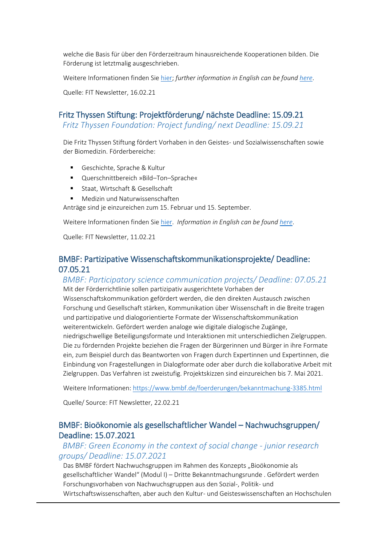welche die Basis für über den Förderzeitraum hinausreichende Kooperationen bilden. Die Förderung ist letztmalig ausgeschrieben.

Weitere Informationen finden Sie [hier;](https://www.volkswagenstiftung.de/unsere-foerderung/unser-foerderangebot-im-ueberblick/weltwissen-%E2%80%93-strukturelle-st%C3%A4rkung-kleiner-f%C3%A4cher) *further information in English can be found [here](https://www.volkswagenstiftung.de/en/funding/our-funding-portfolio-at-a-glance/world-knowledge-%E2%80%93-structural-support-for-rare-subjects)*.

Quelle: FIT Newsletter, 16.02.21

#### Fritz Thyssen Stiftung: Projektförderung/ nächste Deadline: 15.09.21

 *Fritz Thyssen Foundation: Project funding/ next Deadline: 15.09.21*

Die Fritz Thyssen Stiftung fördert Vorhaben in den Geistes- und Sozialwissenschaften sowie der Biomedizin. Förderbereiche:

- Geschichte, Sprache & Kultur
- Querschnittbereich »Bild–Ton–Sprache«
- **Staat, Wirtschaft & Gesellschaft**
- Medizin und Naturwissenschaften

Anträge sind je einzureichen zum 15. Februar und 15. September.

Weitere Informationen finden Sie [hier.](https://www.fritz-thyssen-stiftung.de/foerderung/foerderarten/projektfoerderung/) *Information in English can be found [here](https://www.fritz-thyssen-stiftung.de/en/funding/types-of-support/support-of-projects/)*.

Quelle: FIT Newsletter, 11.02.21

#### BMBF: Partizipative Wissenschaftskommunikationsprojekte/ Deadline: 07.05.21

*BMBF: Participatory science communication projects/ Deadline: 07.05.21* Mit der Förderrichtlinie sollen partizipativ ausgerichtete Vorhaben der Wissenschaftskommunikation gefördert werden, die den direkten Austausch zwischen Forschung und Gesellschaft stärken, Kommunikation über Wissenschaft in die Breite tragen und partizipative und dialogorientierte Formate der Wissenschaftskommunikation weiterentwickeln. Gefördert werden analoge wie digitale dialogische Zugänge, niedrigschwellige Beteiligungsformate und Interaktionen mit unterschiedlichen Zielgruppen. Die zu fördernden Projekte beziehen die Fragen der Bürgerinnen und Bürger in ihre Formate ein, zum Beispiel durch das Beantworten von Fragen durch Expertinnen und Expertinnen, die Einbindung von Fragestellungen in Dialogformate oder aber durch die kollaborative Arbeit mit Zielgruppen. Das Verfahren ist zweistufig. Projektskizzen sind einzureichen bis 7. Mai 2021.

Weitere Informationen:<https://www.bmbf.de/foerderungen/bekanntmachung-3385.html>

Quelle/ Source: FIT Newsletter, 22.02.21

#### BMBF: Bioökonomie als gesellschaftlicher Wandel – Nachwuchsgruppen/ Deadline: 15.07.2021

#### *BMBF: Green Economy in the context of social change - junior research groups/ Deadline: 15.07.2021*

Das BMBF fördert Nachwuchsgruppen im Rahmen des Konzepts "Bioökonomie als gesellschaftlicher Wandel" (Modul I) – Dritte Bekanntmachungsrunde . Gefördert werden Forschungsvorhaben von Nachwuchsgruppen aus den Sozial-, Politik- und Wirtschaftswissenschaften, aber auch den Kultur- und Geisteswissenschaften an Hochschulen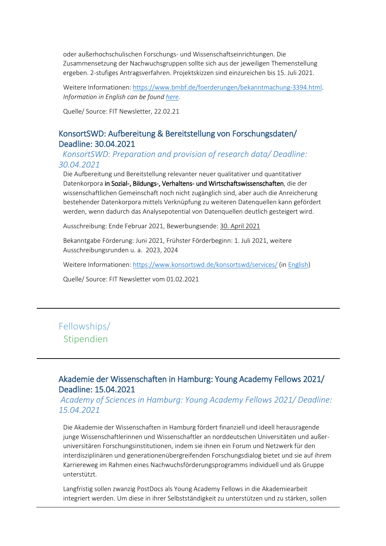oder außerhochschulischen Forschungs- und Wissenschaftseinrichtungen. Die Zusammensetzung der Nachwuchsgruppen sollte sich aus der jeweiligen Themenstellung ergeben. 2-stufiges Antragsverfahren. Projektskizzen sind einzureichen bis 15. Juli 2021.

Weitere Informationen: [https://www.bmbf.de/foerderungen/bekanntmachung-3394.html.](https://www.bmbf.de/foerderungen/bekanntmachung-3394.html) *Information in English can be found [here.](https://www.bmbf.de/en/green-economy-2320.html)*

Quelle/ Source: FIT Newsletter, 22.02.21

#### KonsortSWD: Aufbereitung & Bereitstellung von Forschungsdaten/ Deadline: 30.04.2021

*KonsortSWD: Preparation and provision of research data/ Deadline: 30.04.2021* 

Die Aufbereitung und Bereitstellung relevanter neuer qualitativer und quantitativer Datenkorpora in Sozial-, Bildungs-, Verhaltens- und Wirtschaftswissenschaften, die der wissenschaftlichen Gemeinschaft noch nicht zugänglich sind, aber auch die Anreicherung bestehender Datenkorpora mittels Verknüpfung zu weiteren Datenquellen kann gefördert werden, wenn dadurch das Analysepotential von Datenquellen deutlich gesteigert wird.

Ausschreibung: Ende Februar 2021, Bewerbungsende: 30. April 2021

Bekanntgabe Förderung: Juni 2021, Frühster Förderbeginn: 1. Juli 2021, weitere Ausschreibungsrunden u. a. 2023, 2024

Weitere Informationen:<https://www.konsortswd.de/konsortswd/services/> (i[n English\)](https://www.konsortswd.de/en/latest/news/call-for-applications-project-funding-research-data-management/)

Quelle/ Source: FIT Newsletter vom 01.02.2021

## <span id="page-9-0"></span>Fellowships/ Stipendien

#### Akademie der Wissenschaften in Hamburg: Young Academy Fellows 2021/ Deadline: 15.04.2021

*Academy of Sciences in Hamburg: Young Academy Fellows 2021/ Deadline: 15.04.2021*

Die Akademie der Wissenschaften in Hamburg fördert finanziell und ideell herausragende junge Wissenschaftlerinnen und Wissenschaftler an norddeutschen Universitäten und außeruniversitären Forschungsinstitutionen, indem sie ihnen ein Forum und Netzwerk für den interdisziplinären und generationenübergreifenden Forschungsdialog bietet und sie auf ihrem Karriereweg im Rahmen eines Nachwuchsförderungsprogramms individuell und als Gruppe unterstützt.

Langfristig sollen zwanzig PostDocs als Young Academy Fellows in die Akademiearbeit integriert werden. Um diese in ihrer Selbstständigkeit zu unterstützen und zu stärken, sollen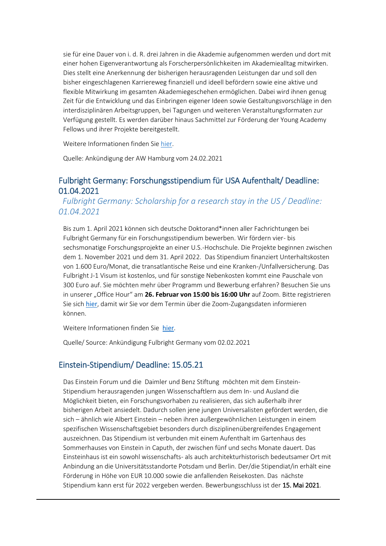sie für eine Dauer von i. d. R. drei Jahren in die Akademie aufgenommen werden und dort mit einer hohen Eigenverantwortung als Forscherpersönlichkeiten im Akademiealltag mitwirken. Dies stellt eine Anerkennung der bisherigen herausragenden Leistungen dar und soll den bisher eingeschlagenen Karriereweg finanziell und ideell befördern sowie eine aktive und flexible Mitwirkung im gesamten Akademiegeschehen ermöglichen. Dabei wird ihnen genug Zeit für die Entwicklung und das Einbringen eigener Ideen sowie Gestaltungsvorschläge in den interdisziplinären Arbeitsgruppen, bei Tagungen und weiteren Veranstaltungsformaten zur Verfügung gestellt. Es werden darüber hinaus Sachmittel zur Förderung der Young Academy Fellows und ihrer Projekte bereitgestellt.

Weitere Informationen finden Sie [hier.](https://www.awhamburg.de/nachwuchsfoerderung/yaf.html)

Quelle: Ankündigung der AW Hamburg vom 24.02.2021

#### Fulbright Germany: Forschungsstipendium für USA Aufenthalt/ Deadline: 01.04.2021

*Fulbright Germany: Scholarship for a research stay in the US / Deadline: 01.04.2021*

Bis zum 1. April 2021 können sich deutsche Doktorand\*innen aller Fachrichtungen bei Fulbright Germany für ein Forschungsstipendium bewerben. Wir fördern vier- bis sechsmonatige Forschungsprojekte an einer U.S.-Hochschule. Die Projekte beginnen zwischen dem 1. November 2021 und dem 31. April 2022. Das Stipendium finanziert Unterhaltskosten von 1.600 Euro/Monat, die transatlantische Reise und eine Kranken-/Unfallversicherung. Das Fulbright J-1 Visum ist kostenlos, und für sonstige Nebenkosten kommt eine Pauschale von 300 Euro auf. Sie möchten mehr über Programm und Bewerbung erfahren? Besuchen Sie uns in unserer "Office Hour" am **26. Februar von 15:00 bis 16:00 Uhr** auf Zoom. Bitte registrieren Sie sich [hier](https://us02web.zoom.us/meeting/register/tZwtdOCgqzIrG9BPPXp9sp46E0Hor9W6vNKj), damit wir Sie vor dem Termin über die Zoom-Zugangsdaten informieren können.

Weitere Informationen finden Sie [hier](https://www.fulbright.de/programs-for-germans/nachwuchswissenschaftler-innen-und-hochschullehrer-innen/doktorandenprogramm).

Quelle/ Source: Ankündigung Fulbright Germany vom 02.02.2021

#### Einstein-Stipendium/ Deadline: 15.05.21

Das Einstein Forum und die Daimler und Benz Stiftung möchten mit dem Einstein-Stipendium herausragenden jungen Wissenschaftlern aus dem In- und Ausland die Möglichkeit bieten, ein Forschungsvorhaben zu realisieren, das sich außerhalb ihrer bisherigen Arbeit ansiedelt. Dadurch sollen jene jungen Universalisten gefördert werden, die sich – ähnlich wie Albert Einstein – neben ihren außergewöhnlichen Leistungen in einem spezifischen Wissenschaftsgebiet besonders durch disziplinenübergreifendes Engagement auszeichnen. Das Stipendium ist verbunden mit einem Aufenthalt im Gartenhaus des Sommerhauses von Einstein in Caputh, der zwischen fünf und sechs Monate dauert. Das Einsteinhaus ist ein sowohl wissenschafts- als auch architekturhistorisch bedeutsamer Ort mit Anbindung an die Universitätsstandorte Potsdam und Berlin. Der/die Stipendiat/in erhält eine Förderung in Höhe von EUR 10.000 sowie die anfallenden Reisekosten. Das nächste Stipendium kann erst für 2022 vergeben werden. Bewerbungsschluss ist der 15. Mai 2021.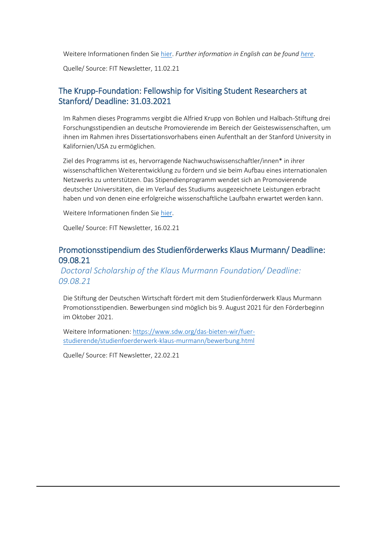Weitere Informationen finden Sie [hier.](https://einsteinforum.de/about/fellowship/) *Further information in English can be foun[d here](https://einsteinforum.de/about/fellowship/?lang=en)*.

Quelle/ Source: FIT Newsletter, 11.02.21

#### The Krupp-Foundation: Fellowship for Visiting Student Researchers at Stanford/ Deadline: 31.03.2021

Im Rahmen dieses Programms vergibt die Alfried Krupp von Bohlen und Halbach-Stiftung drei Forschungsstipendien an deutsche Promovierende im Bereich der Geisteswissenschaften, um ihnen im Rahmen ihres Dissertationsvorhabens einen Aufenthalt an der Stanford University in Kalifornien/USA zu ermöglichen.

Ziel des Programms ist es, hervorragende Nachwuchswissenschaftler/innen\* in ihrer wissenschaftlichen Weiterentwicklung zu fördern und sie beim Aufbau eines internationalen Netzwerks zu unterstützen. Das Stipendienprogramm wendet sich an Promovierende deutscher Universitäten, die im Verlauf des Studiums ausgezeichnete Leistungen erbracht haben und von denen eine erfolgreiche wissenschaftliche Laufbahn erwartet werden kann.

Weitere Informationen finden Sie [hier.](https://www.krupp-stiftung.de/the-krupp-foundation-fellowship-for-visiting-student-researchers-at-stanford/)

Quelle/ Source: FIT Newsletter, 16.02.21

#### Promotionsstipendium des Studienförderwerks Klaus Murmann/ Deadline: 09.08.21

#### *Doctoral Scholarship of the Klaus Murmann Foundation/ Deadline: 09.08.21*

Die Stiftung der Deutschen Wirtschaft fördert mit dem Studienförderwerk Klaus Murmann Promotionsstipendien. Bewerbungen sind möglich bis 9. August 2021 für den Förderbeginn im Oktober 2021.

Weitere Informationen: [https://www.sdw.org/das-bieten-wir/fuer](https://www.sdw.org/das-bieten-wir/fuer-studierende/studienfoerderwerk-klaus-murmann/bewerbung.html)[studierende/studienfoerderwerk-klaus-murmann/bewerbung.html](https://www.sdw.org/das-bieten-wir/fuer-studierende/studienfoerderwerk-klaus-murmann/bewerbung.html)

Quelle/ Source: FIT Newsletter, 22.02.21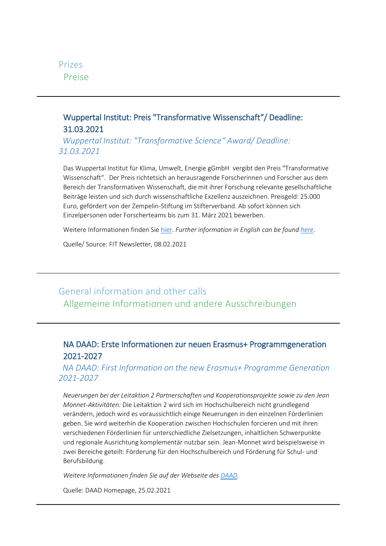<span id="page-12-0"></span>

### Wuppertal Institut: Preis "Transformative Wissenschaft"/ Deadline: 31.03.2021

*Wuppertal Institut: "Transformative Science" Award/ Deadline: 31.03.2021*

Das Wuppertal Institut für Klima, Umwelt, Energie gGmbH vergibt den Preis "Transformative Wissenschaft". Der Preis richtetsich an herausragende Forscherinnen und Forscher aus dem Bereich der Transformativen Wissenschaft, die mit ihrer Forschung relevante gesellschaftliche Beiträge leisten und sich durch wissenschaftliche Exzellenz auszeichnen. Preisgeld: 25.000 Euro, gefördert von der Zempelin-Stiftung im Stifterverband. Ab sofort können sich Einzelpersonen oder Forscherteams bis zum 31. März 2021 bewerben.

Weitere Informationen finden Sie [hier.](https://wupperinst.org/fa/redaktion/downloads/misc/Forschungspreis2021_Ausschreibung.pdf) *Further information in English can be foun[d here](https://wupperinst.org/en/research/research/research-prize)*.

Quelle/ Source: FIT Newsletter, 08.02.2021

## General information and other calls Allgemeine Informationen und andere Ausschreibungen

### NA DAAD: Erste Informationen zur neuen Erasmus+ Programmgeneration 2021-2027

*NA DAAD: First Information on the new Erasmus+ Programme Generation 2021-2027*

*Neuerungen bei der Leitaktion 2 Partnerschaften und Kooperationsprojekte sowie zu den Jean Monnet-Aktivitäten:* Die Leitaktion 2 wird sich im Hochschulbereich nicht grundlegend verändern, jedoch wird es voraussichtlich einige Neuerungen in den einzelnen Förderlinien geben. Sie wird weiterhin die Kooperation zwischen Hochschulen forcieren und mit ihren verschiedenen Förderlinien für unterschiedliche Zielsetzungen, inhaltlichen Schwerpunkte und regionale Ausrichtung komplementär nutzbar sein. Jean-Monnet wird beispielsweise in zwei Bereiche geteilt: Förderung für den Hochschulbereich und Förderung für Schul- und Berufsbildung.

*Weitere Informationen finden Sie auf der Webseite des [DAAD.](https://eu.daad.de/service/faq/neue-programmgeneration-2021-2027/de/79016-erste-informationen-zur-neuen-programmgeneration-2021-2027--leitaktion-2-partnerschaften-und-kooperationsprojekte-sowie-zu-den-jean-monnet-aktivitaeten/)*

Quelle: DAAD Homepage, 25.02.2021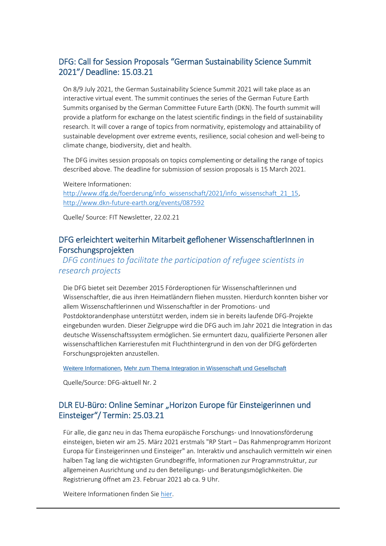#### DFG: Call for Session Proposals "German Sustainability Science Summit 2021"/ Deadline: 15.03.21

On 8/9 July 2021, the German Sustainability Science Summit 2021 will take place as an interactive virtual event. The summit continues the series of the German Future Earth Summits organised by the German Committee Future Earth (DKN). The fourth summit will provide a platform for exchange on the latest scientific findings in the field of sustainability research. It will cover a range of topics from normativity, epistemology and attainability of sustainable development over extreme events, resilience, social cohesion and well-being to climate change, biodiversity, diet and health.

The DFG invites session proposals on topics complementing or detailing the range of topics described above. The deadline for submission of session proposals is 15 March 2021.

Weitere Informationen: [http://www.dfg.de/foerderung/info\\_wissenschaft/2021/info\\_wissenschaft\\_21\\_15,](http://www.dfg.de/foerderung/info_wissenschaft/2021/info_wissenschaft_21_15) <http://www.dkn-future-earth.org/events/087592>

Quelle/ Source: FIT Newsletter, 22.02.21

#### DFG erleichtert weiterhin Mitarbeit geflohener WissenschaftlerInnen in Forschungsprojekten

#### *DFG continues to facilitate the participation of refugee scientists in research projects*

Die DFG bietet seit Dezember 2015 Förderoptionen für Wissenschaftlerinnen und Wissenschaftler, die aus ihren Heimatländern fliehen mussten. Hierdurch konnten bisher vor allem Wissenschaftlerinnen und Wissenschaftler in der Promotions- und Postdoktorandenphase unterstützt werden, indem sie in bereits laufende DFG-Projekte eingebunden wurden. Dieser Zielgruppe wird die DFG auch im Jahr 2021 die Integration in das deutsche Wissenschaftssystem ermöglichen. Sie ermuntert dazu, qualifizierte Personen aller wissenschaftlichen Karrierestufen mit Fluchthintergrund in den von der DFG geförderten Forschungsprojekten anzustellen.

[Weitere Informationen](https://newsletter-web.dfg.de/sys/r.aspx?sub=15Qysy_2Ao32&tid=0-J2cbY-oKlid&link=pZzN), [Mehr zum Thema Integration in Wissenschaft und Gesellschaft](https://newsletter-web.dfg.de/sys/r.aspx?sub=15Qysy_2Ao32&tid=0-J2cbY-oKlid&link=pO0g)

Quelle/Source: DFG-aktuell Nr. 2

#### DLR EU-Büro: Online Seminar "Horizon Europe für Einsteigerinnen und Einsteiger"/ Termin: 25.03.21

Für alle, die ganz neu in das Thema europäische Forschungs- und Innovationsförderung einsteigen, bieten wir am 25. März 2021 erstmals "RP Start – Das Rahmenprogramm Horizont Europa für Einsteigerinnen und Einsteiger" an. Interaktiv und anschaulich vermitteln wir einen halben Tag lang die wichtigsten Grundbegriffe, Informationen zur Programmstruktur, zur allgemeinen Ausrichtung und zu den Beteiligungs- und Beratungsmöglichkeiten. Die Registrierung öffnet am 23. Februar 2021 ab ca. 9 Uhr.

Weitere Informationen finden Sie [hier.](https://www.eubuero.de/rp-start.htm?pk_campaign=eub-telegramm&pk_kwd=3-2021)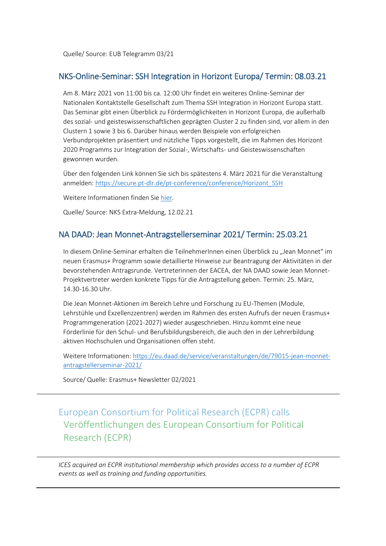Quelle/ Source: EUB Telegramm 03/21

#### NKS-Online-Seminar: SSH Integration in Horizont Europa/ Termin: 08.03.21

Am 8. März 2021 von 11:00 bis ca. 12:00 Uhr findet ein weiteres Online-Seminar der Nationalen Kontaktstelle Gesellschaft zum Thema SSH Integration in Horizont Europa statt. Das Seminar gibt einen Überblick zu Fördermöglichkeiten in Horizont Europa, die außerhalb des sozial- und geisteswissenschaftlichen geprägten Cluster 2 zu finden sind, vor allem in den Clustern 1 sowie 3 bis 6. Darüber hinaus werden Beispiele von erfolgreichen Verbundprojekten präsentiert und nützliche Tipps vorgestellt, die im Rahmen des Horizont 2020 Programms zur Integration der Sozial-, Wirtschafts- und Geisteswissenschaften gewonnen wurden.

Über den folgenden Link können Sie sich bis spätestens 4. März 2021 für die Veranstaltung anmelden: [https://secure.pt-dlr.de/pt-conference/conference/Horizont\\_SSH](https://secure.pt-dlr.de/pt-conference/conference/Horizont_SSH)

Weitere Informationen finden Sie [hier.](https://www.horizont-europa.de/de/Online-Kampagne-des-NKS-Netzwerks-2079.html?pk_campaign=EUB-Telegramm&pk_kwd=02-2021)

Quelle/ Source: NKS Extra-Meldung, 12.02.21

#### NA DAAD: Jean Monnet-Antragstellerseminar 2021/ Termin: 25.03.21

In diesem Online-Seminar erhalten die TeilnehmerInnen einen Überblick zu "Jean Monnet" im neuen Erasmus+ Programm sowie detaillierte Hinweise zur Beantragung der Aktivitäten in der bevorstehenden Antragsrunde. Vertreterinnen der EACEA, der NA DAAD sowie Jean Monnet-Projektvertreter werden konkrete Tipps für die Antragstellung geben. Termin: 25. März, 14.30-16.30 Uhr.

Die Jean Monnet-Aktionen im Bereich Lehre und Forschung zu EU-Themen (Module, Lehrstühle und Exzellenzzentren) werden im Rahmen des ersten Aufrufs der neuen Erasmus+ Programmgeneration (2021-2027) wieder ausgeschrieben. Hinzu kommt eine neue Förderlinie für den Schul- und Berufsbildungsbereich, die auch den in der Lehrerbildung aktiven Hochschulen und Organisationen offen steht.

Weitere Informationen: [https://eu.daad.de/service/veranstaltungen/de/79015-jean-monnet](https://eu.daad.de/service/veranstaltungen/de/79015-jean-monnet-antragstellerseminar-2021/)[antragstellerseminar-2021/](https://eu.daad.de/service/veranstaltungen/de/79015-jean-monnet-antragstellerseminar-2021/)

Source/ Quelle: Erasmus+ Newsletter 02/2021

<span id="page-14-0"></span>European Consortium for Political Research (ECPR) calls Veröffentlichungen des European Consortium for Political Research (ECPR)

*ICES acquired an ECPR institutional membership which provides access to a number of ECPR events as well as training and funding opportunities.*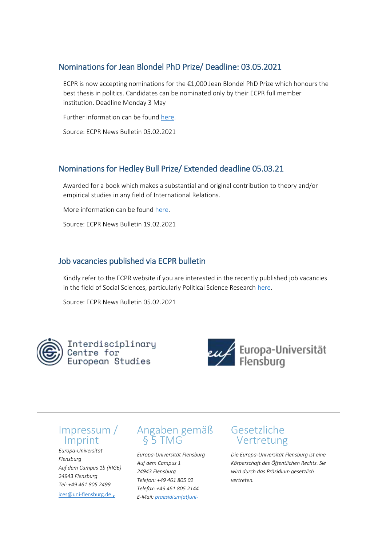#### <span id="page-15-0"></span>Nominations for Jean Blondel PhD Prize/ Deadline: 03.05.2021

ECPR is now accepting nominations for the  $\epsilon$ 1,000 Jean Blondel PhD Prize which honours the best thesis in politics. Candidates can be nominated only by their ECPR full member institution. Deadline Monday 3 May

Further information can be found [here.](https://ecpr.eu/Prizes/PrizeNominationProcedure.aspx?PrizeID=4)

Source: ECPR News Bulletin 05.02.2021

#### Nominations for Hedley Bull Prize/ Extended deadline 05.03.21

Awarded for a book which makes a substantial and original contribution to theory and/or empirical studies in any field of International Relations.

More information can be found [here.](https://ecpr.eu/Prizes/PrizeNominationProcedure.aspx?PrizeID=11)

Source: ECPR News Bulletin 19.02.2021

#### Job vacancies published via ECPR bulletin

Kindly refer to the ECPR website if you are interested in the recently published job vacancies in the field of Social Sciences, particularly Political Science Research [here.](http://r.pr.ecpr.eu/mk/mr/GZXRdpL8PQAcxZJ6ITlka3u0-fjAB2N9dBP86Js_u8NDdK_hcnTbqSI2fzvGjkla0xTLDql8DPtsn3MCn4k_Ho1lyDpcGuA1TQc)

Source: ECPR News Bulletin 05.02.2021



Interdisciplinary Centre for<sup>'</sup> European Studies



## Impressum / Imprint

*Europa-Universität Flensburg Auf dem Campus 1b (RIG6) 24943 Flensburg Tel: +49 461 805 2499* ices@uni-flensburg.de,

## Angaben gemäß § 5 TMG

*Europa-Universität Flensburg Auf dem Campus 1 24943 Flensburg Telefon: +49 461 805 02 Telefax: +49 461 805 2144 E-Mail: [praesidium\(at\)uni-](https://www.uni-flensburg.de/)*

## Gesetzliche Vertretung

*Die Europa-Universität Flensburg ist eine Körperschaft des Öffentlichen Rechts. Sie wird durch das Präsidium gesetzlich vertreten.*